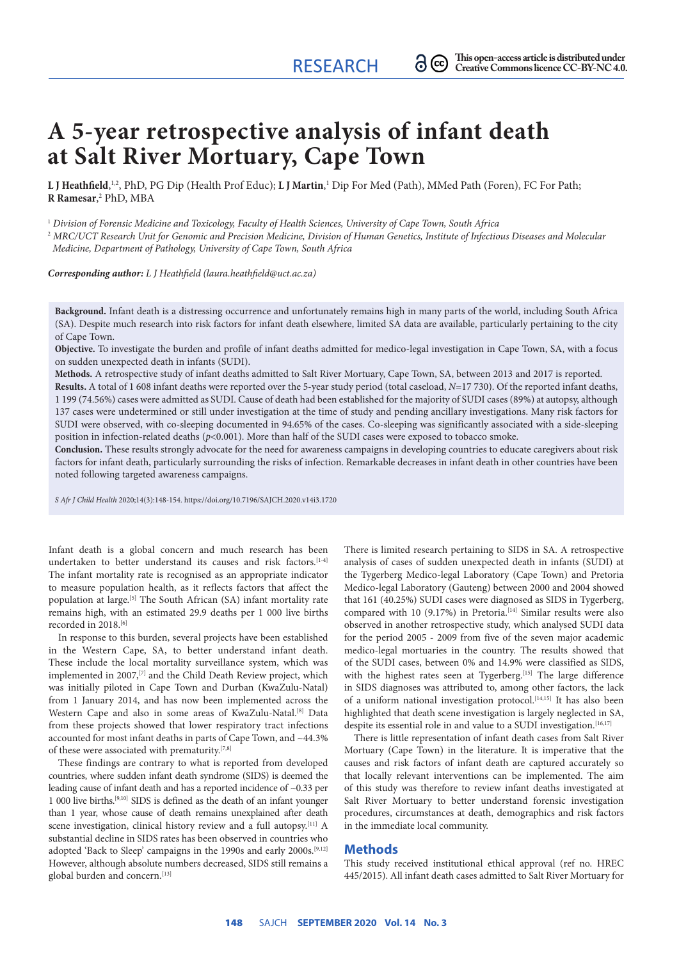# **A 5-year retrospective analysis of infant death at Salt River Mortuary, Cape Town**

 $\tt L$  **J Heathfield**,<sup>1,2</sup>, PhD, PG Dip (Health Prof Educ);  $\tt L$  **J Martin**,<sup>1</sup> Dip For Med (Path), MMed Path (Foren), FC For Path; **R Ramesar**, 2 PhD, MBA

<sup>1</sup> *Division of Forensic Medicine and Toxicology, Faculty of Health Sciences, University of Cape Town, South Africa*

<sup>2</sup> *MRC/UCT Research Unit for Genomic and Precision Medicine, Division of Human Genetics, Institute of Infectious Diseases and Molecular Medicine, Department of Pathology, University of Cape Town, South Africa*

*Corresponding author: L J Heathfield (laura.heathfield@uct.ac.za)*

**Background.** Infant death is a distressing occurrence and unfortunately remains high in many parts of the world, including South Africa (SA). Despite much research into risk factors for infant death elsewhere, limited SA data are available, particularly pertaining to the city of Cape Town.

**Objective.** To investigate the burden and profile of infant deaths admitted for medico-legal investigation in Cape Town, SA, with a focus on sudden unexpected death in infants (SUDI).

**Methods.** A retrospective study of infant deaths admitted to Salt River Mortuary, Cape Town, SA, between 2013 and 2017 is reported.

**Results.** A total of 1 608 infant deaths were reported over the 5-year study period (total caseload, *N*=17 730). Of the reported infant deaths, 1 199 (74.56%) cases were admitted as SUDI. Cause of death had been established for the majority of SUDI cases (89%) at autopsy, although 137 cases were undetermined or still under investigation at the time of study and pending ancillary investigations. Many risk factors for SUDI were observed, with co-sleeping documented in 94.65% of the cases. Co-sleeping was significantly associated with a side-sleeping position in infection-related deaths (*p*<0.001). More than half of the SUDI cases were exposed to tobacco smoke.

**Conclusion.** These results strongly advocate for the need for awareness campaigns in developing countries to educate caregivers about risk factors for infant death, particularly surrounding the risks of infection. Remarkable decreases in infant death in other countries have been noted following targeted awareness campaigns.

*S Afr J Child Health* 2020;14(3):148-154. https://doi.org/10.7196/SAJCH.2020.v14i3.1720

Infant death is a global concern and much research has been undertaken to better understand its causes and risk factors.<sup>[1-4]</sup> The infant mortality rate is recognised as an appropriate indicator to measure population health, as it reflects factors that affect the population at large.[5] The South African (SA) infant mortality rate remains high, with an estimated 29.9 deaths per 1 000 live births recorded in 2018.<sup>[6]</sup>

In response to this burden, several projects have been established in the Western Cape, SA, to better understand infant death. These include the local mortality surveillance system, which was implemented in 2007,<sup>[7]</sup> and the Child Death Review project, which was initially piloted in Cape Town and Durban (KwaZulu-Natal) from 1 January 2014, and has now been implemented across the Western Cape and also in some areas of KwaZulu-Natal.[8] Data from these projects showed that lower respiratory tract infections accounted for most infant deaths in parts of Cape Town, and ~44.3% of these were associated with prematurity.[7,8]

These findings are contrary to what is reported from developed countries, where sudden infant death syndrome (SIDS) is deemed the leading cause of infant death and has a reported incidence of ~0.33 per 1 000 live births.[9,10] SIDS is defined as the death of an infant younger than 1 year, whose cause of death remains unexplained after death scene investigation, clinical history review and a full autopsy.[11] A substantial decline in SIDS rates has been observed in countries who adopted 'Back to Sleep' campaigns in the 1990s and early 2000s.<sup>[9,12]</sup> However, although absolute numbers decreased, SIDS still remains a global burden and concern.[13]

There is limited research pertaining to SIDS in SA. A retrospective analysis of cases of sudden unexpected death in infants (SUDI) at the Tygerberg Medico-legal Laboratory (Cape Town) and Pretoria Medico-legal Laboratory (Gauteng) between 2000 and 2004 showed that 161 (40.25%) SUDI cases were diagnosed as SIDS in Tygerberg, compared with 10 (9.17%) in Pretoria.<sup>[14]</sup> Similar results were also observed in another retrospective study, which analysed SUDI data for the period 2005 - 2009 from five of the seven major academic medico-legal mortuaries in the country. The results showed that of the SUDI cases, between 0% and 14.9% were classified as SIDS, with the highest rates seen at Tygerberg.<sup>[15]</sup> The large difference in SIDS diagnoses was attributed to, among other factors, the lack of a uniform national investigation protocol.<sup>[14,15]</sup> It has also been highlighted that death scene investigation is largely neglected in SA, despite its essential role in and value to a SUDI investigation.<sup>[16,17]</sup>

There is little representation of infant death cases from Salt River Mortuary (Cape Town) in the literature. It is imperative that the causes and risk factors of infant death are captured accurately so that locally relevant interventions can be implemented. The aim of this study was therefore to review infant deaths investigated at Salt River Mortuary to better understand forensic investigation procedures, circumstances at death, demographics and risk factors in the immediate local community.

#### **Methods**

This study received institutional ethical approval (ref no. HREC 445/2015). All infant death cases admitted to Salt River Mortuary for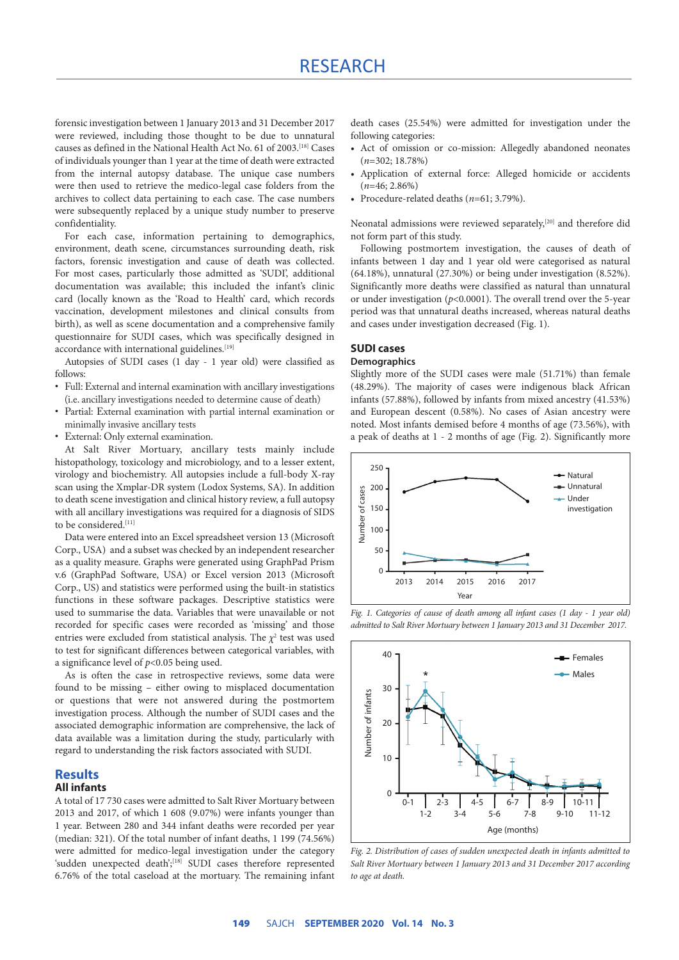# RESEARCH

forensic investigation between 1 January 2013 and 31 December 2017 were reviewed, including those thought to be due to unnatural causes as defined in the National Health Act No. 61 of 2003.[18] Cases of individuals younger than 1 year at the time of death were extracted from the internal autopsy database. The unique case numbers were then used to retrieve the medico-legal case folders from the archives to collect data pertaining to each case. The case numbers were subsequently replaced by a unique study number to preserve confidentiality.

For each case, information pertaining to demographics, environment, death scene, circumstances surrounding death, risk factors, forensic investigation and cause of death was collected. For most cases, particularly those admitted as 'SUDI', additional documentation was available; this included the infant's clinic card (locally known as the 'Road to Health' card, which records vaccination, development milestones and clinical consults from birth), as well as scene documentation and a comprehensive family questionnaire for SUDI cases, which was specifically designed in accordance with international guidelines.<sup>[19]</sup>

Autopsies of SUDI cases (1 day - 1 year old) were classified as follows:

- Full: External and internal examination with ancillary investigations (i.e. ancillary investigations needed to determine cause of death)
- Partial: External examination with partial internal examination or minimally invasive ancillary tests
- External: Only external examination.

At Salt River Mortuary, ancillary tests mainly include histopathology, toxicology and microbiology, and to a lesser extent, virology and biochemistry. All autopsies include a full-body X-ray scan using the Xmplar-DR system (Lodox Systems, SA). In addition to death scene investigation and clinical history review, a full autopsy with all ancillary investigations was required for a diagnosis of SIDS to be considered.[11]

Data were entered into an Excel spreadsheet version 13 (Microsoft Corp., USA) and a subset was checked by an independent researcher as a quality measure. Graphs were generated using GraphPad Prism v.6 (GraphPad Software, USA) or Excel version 2013 (Microsoft Corp., US) and statistics were performed using the built-in statistics functions in these software packages. Descriptive statistics were used to summarise the data. Variables that were unavailable or not recorded for specific cases were recorded as 'missing' and those entries were excluded from statistical analysis. The  $\chi^2$  test was used to test for significant differences between categorical variables, with a significance level of *p*<0.05 being used.

As is often the case in retrospective reviews, some data were found to be missing – either owing to misplaced documentation or questions that were not answered during the postmortem investigation process. Although the number of SUDI cases and the associated demographic information are comprehensive, the lack of data available was a limitation during the study, particularly with regard to understanding the risk factors associated with SUDI.

## **Results**

## **All infants**

A total of 17 730 cases were admitted to Salt River Mortuary between 2013 and 2017, of which 1 608 (9.07%) were infants younger than 1 year. Between 280 and 344 infant deaths were recorded per year (median: 321). Of the total number of infant deaths, 1 199 (74.56%) were admitted for medico-legal investigation under the category 'sudden unexpected death';<sup>[18]</sup> SUDI cases therefore represented 6.76% of the total caseload at the mortuary. The remaining infant death cases (25.54%) were admitted for investigation under the following categories:

- Act of omission or co-mission: Allegedly abandoned neonates  $(n=302 \cdot 18.78\%)$
- Application of external force: Alleged homicide or accidents (*n*=46; 2.86%)
- Procedure-related deaths (*n*=61; 3.79%).

Neonatal admissions were reviewed separately,<sup>[20]</sup> and therefore did not form part of this study.

Following postmortem investigation, the causes of death of infants between 1 day and 1 year old were categorised as natural (64.18%), unnatural (27.30%) or being under investigation (8.52%). Significantly more deaths were classified as natural than unnatural or under investigation (*p*<0.0001). The overall trend over the 5-year period was that unnatural deaths increased, whereas natural deaths and cases under investigation decreased (Fig. 1).

# **SUDI cases**

#### **Demographics**

Slightly more of the SUDI cases were male (51.71%) than female (48.29%). The majority of cases were indigenous black African infants (57.88%), followed by infants from mixed ancestry (41.53%) and European descent (0.58%). No cases of Asian ancestry were noted. Most infants demised before 4 months of age (73.56%), with a peak of deaths at 1 - 2 months of age (Fig. 2). Significantly more







*Fig. 2. Distribution of cases of sudden unexpected death in infants admitted to Salt River Mortuary between 1 January 2013 and 31 December 2017 according to age at death.*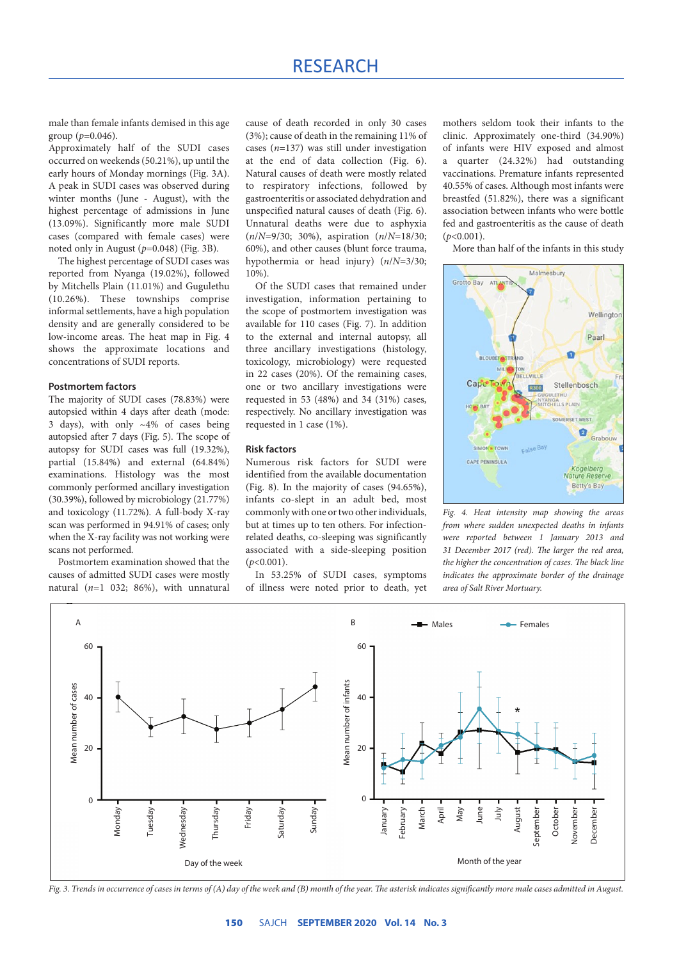male than female infants demised in this age group (*p*=0.046).

Approximately half of the SUDI cases occurred on weekends (50.21%), up until the early hours of Monday mornings (Fig. 3A). A peak in SUDI cases was observed during winter months (June - August), with the highest percentage of admissions in June (13.09%). Significantly more male SUDI cases (compared with female cases) were noted only in August (*p*=0.048) (Fig. 3B).

The highest percentage of SUDI cases was reported from Nyanga (19.02%), followed by Mitchells Plain (11.01%) and Gugulethu (10.26%). These townships comprise informal settlements, have a high population density and are generally considered to be low-income areas. The heat map in Fig. 4 shows the approximate locations and concentrations of SUDI reports.

#### **Postmortem factors**

The majority of SUDI cases (78.83%) were autopsied within 4 days after death (mode: 3 days), with only  $\sim$ 4% of cases being autopsied after 7 days (Fig. 5). The scope of autopsy for SUDI cases was full (19.32%), partial (15.84%) and external (64.84%) examinations. Histology was the most commonly performed ancillary investigation (30.39%), followed by microbiology (21.77%) and toxicology (11.72%). A full-body X-ray scan was performed in 94.91% of cases; only when the X-ray facility was not working were scans not performed.

Postmortem examination showed that the causes of admitted SUDI cases were mostly natural (*n*=1 032; 86%), with unnatural cause of death recorded in only 30 cases (3%); cause of death in the remaining 11% of cases (*n*=137) was still under investigation at the end of data collection (Fig. 6). Natural causes of death were mostly related to respiratory infections, followed by gastroenteritis or associated dehydration and unspecified natural causes of death (Fig. 6). Unnatural deaths were due to asphyxia (*n*/*N*=9/30; 30%), aspiration (*n*/*N*=18/30; 60%), and other causes (blunt force trauma, hypothermia or head injury) (*n*/*N*=3/30; 10%).

Of the SUDI cases that remained under investigation, information pertaining to the scope of postmortem investigation was available for 110 cases (Fig. 7). In addition to the external and internal autopsy, all three ancillary investigations (histology, toxicology, microbiology) were requested in 22 cases (20%). Of the remaining cases, one or two ancillary investigations were requested in 53 (48%) and 34 (31%) cases, respectively. No ancillary investigation was requested in 1 case (1%).

#### **Risk factors**

Numerous risk factors for SUDI were identified from the available documentation (Fig. 8). In the majority of cases (94.65%), infants co-slept in an adult bed, most commonly with one or two other individuals, but at times up to ten others. For infectionrelated deaths, co-sleeping was significantly associated with a side-sleeping position (*p*<0.001).

In 53.25% of SUDI cases, symptoms of illness were noted prior to death, yet mothers seldom took their infants to the clinic. Approximately one-third (34.90%) of infants were HIV exposed and almost a quarter (24.32%) had outstanding vaccinations. Premature infants represented 40.55% of cases. Although most infants were breastfed (51.82%), there was a significant association between infants who were bottle fed and gastroenteritis as the cause of death  $(p<0.001)$ .

More than half of the infants in this study



*Fig. 4. Heat intensity map showing the areas from where sudden unexpected deaths in infants were reported between 1 January 2013 and 31 December 2017 (red). The larger the red area, the higher the concentration of cases. The black line indicates the approximate border of the drainage area of Salt River Mortuary.* 



*Fig. 3. Trends in occurrence of cases in terms of (A) day of the week and (B) month of the year. The asterisk indicates significantly more male cases admitted in August.*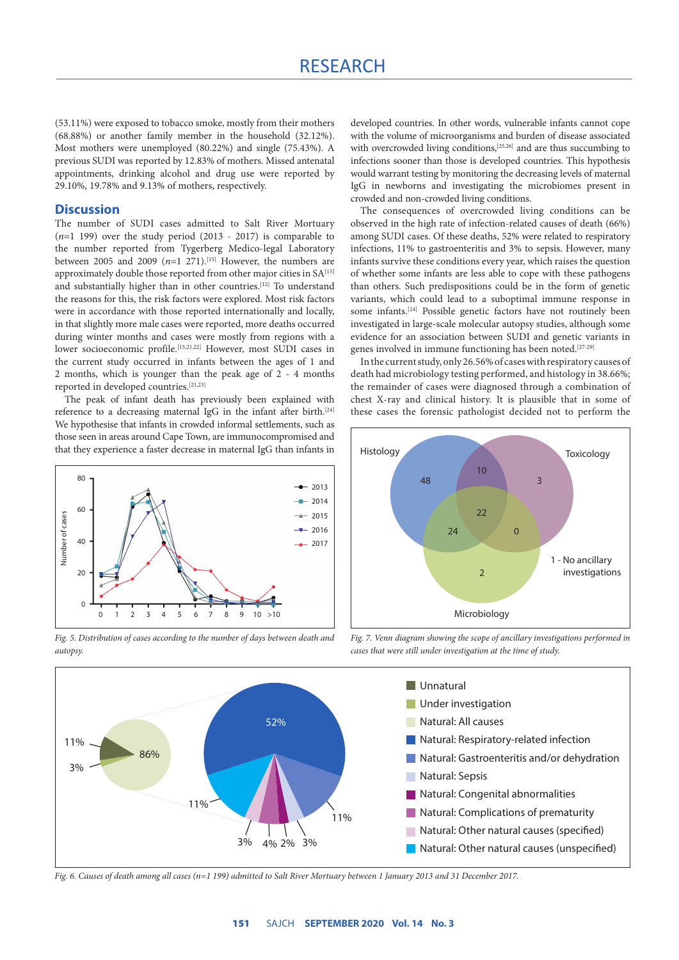(53.11%) were exposed to tobacco smoke, mostly from their mothers (68.88%) or another family member in the household (32.12%). Most mothers were unemployed (80.22%) and single (75.43%). A previous SUDI was reported by 12.83% of mothers. Missed antenatal appointments, drinking alcohol and drug use were reported by 29.10%, 19.78% and 9.13% of mothers, respectively.

# **Discussion**

The number of SUDI cases admitted to Salt River Mortuary (*n*=1 199) over the study period (2013 - 2017) is comparable to the number reported from Tygerberg Medico-legal Laboratory between 2005 and 2009  $(n=1, 271)$ .<sup>[15]</sup> However, the numbers are approximately double those reported from other major cities in SA[15] and substantially higher than in other countries.[12] To understand the reasons for this, the risk factors were explored. Most risk factors were in accordance with those reported internationally and locally, in that slightly more male cases were reported, more deaths occurred during winter months and cases were mostly from regions with a lower socioeconomic profile.[15,21,22] However, most SUDI cases in the current study occurred in infants between the ages of 1 and 2 months, which is younger than the peak age of 2 - 4 months reported in developed countries.[21,23]

The peak of infant death has previously been explained with reference to a decreasing maternal IgG in the infant after birth.<sup>[24]</sup> We hypothesise that infants in crowded informal settlements, such as those seen in areas around Cape Town, are immunocompromised and that they experience a faster decrease in maternal IgG than infants in



*Fig. 5. Distribution of cases according to the number of days between death and* 

developed countries. In other words, vulnerable infants cannot cope with the volume of microorganisms and burden of disease associated with overcrowded living conditions,<sup>[25,26]</sup> and are thus succumbing to infections sooner than those is developed countries. This hypothesis would warrant testing by monitoring the decreasing levels of maternal IgG in newborns and investigating the microbiomes present in crowded and non-crowded living conditions.

The consequences of overcrowded living conditions can be observed in the high rate of infection-related causes of death (66%) among SUDI cases. Of these deaths, 52% were related to respiratory infections, 11% to gastroenteritis and 3% to sepsis. However, many infants survive these conditions every year, which raises the question of whether some infants are less able to cope with these pathogens than others. Such predispositions could be in the form of genetic variants, which could lead to a suboptimal immune response in some infants.<sup>[24]</sup> Possible genetic factors have not routinely been investigated in large-scale molecular autopsy studies, although some evidence for an association between SUDI and genetic variants in genes involved in immune functioning has been noted.[27-29]

In the current study, only 26.56% of cases with respiratory causes of death had microbiology testing performed, and histology in 38.66%; the remainder of cases were diagnosed through a combination of chest X-ray and clinical history. It is plausible that in some of these cases the forensic pathologist decided not to perform the



*Fig. 7. Venn diagram showing the scope of ancillary investigations performed in cases that were still under investigation at the time of study.* 



*Fig. 6. Causes of death among all cases (n=1 199) admitted to Salt River Mortuary between 1 January 2013 and 31 December 2017.*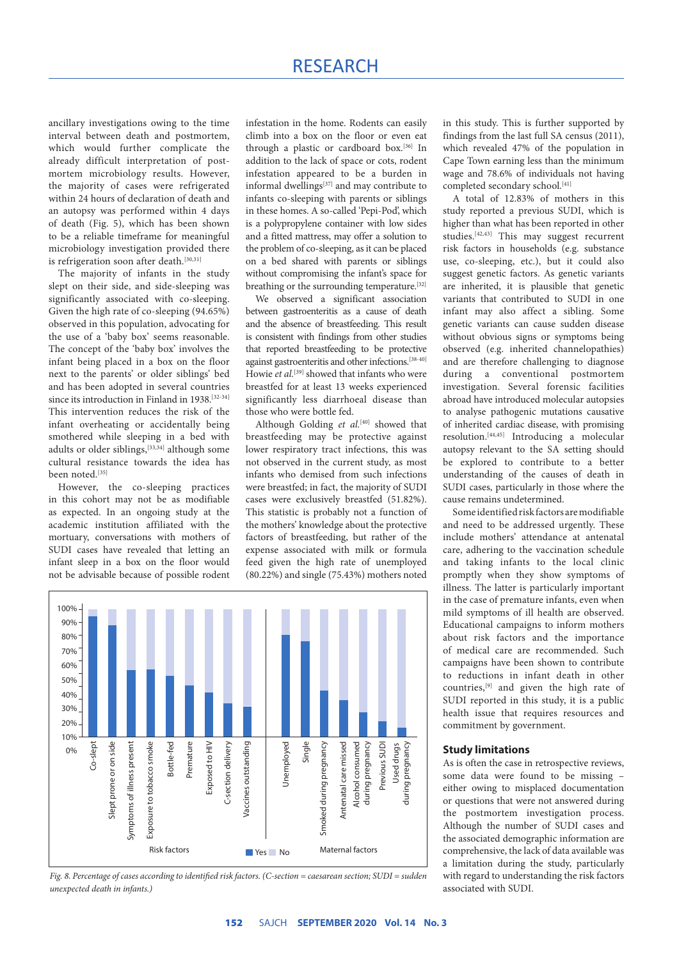ancillary investigations owing to the time interval between death and postmortem, which would further complicate the already difficult interpretation of postmortem microbiology results. However, the majority of cases were refrigerated within 24 hours of declaration of death and an autopsy was performed within 4 days of death (Fig. 5), which has been shown to be a reliable timeframe for meaningful microbiology investigation provided there is refrigeration soon after death.[30,31]

The majority of infants in the study slept on their side, and side-sleeping was significantly associated with co-sleeping. Given the high rate of co-sleeping (94.65%) observed in this population, advocating for the use of a 'baby box' seems reasonable. The concept of the 'baby box' involves the infant being placed in a box on the floor next to the parents' or older siblings' bed and has been adopted in several countries since its introduction in Finland in 1938.<sup>[32-34]</sup> This intervention reduces the risk of the infant overheating or accidentally being smothered while sleeping in a bed with adults or older siblings,<sup>[33,34]</sup> although some cultural resistance towards the idea has been noted.<sup>[35]</sup>

However, the co-sleeping practices in this cohort may not be as modifiable as expected. In an ongoing study at the academic institution affiliated with the mortuary, conversations with mothers of SUDI cases have revealed that letting an infant sleep in a box on the floor would not be advisable because of possible rodent infestation in the home. Rodents can easily climb into a box on the floor or even eat through a plastic or cardboard box.[36] In addition to the lack of space or cots, rodent infestation appeared to be a burden in informal dwellings[37] and may contribute to infants co-sleeping with parents or siblings in these homes. A so-called 'Pepi-Pod', which is a polypropylene container with low sides and a fitted mattress, may offer a solution to the problem of co-sleeping, as it can be placed on a bed shared with parents or siblings without compromising the infant's space for breathing or the surrounding temperature.[32]

We observed a significant association between gastroenteritis as a cause of death and the absence of breastfeeding. This result is consistent with findings from other studies that reported breastfeeding to be protective against gastroenteritis and other infections.[38-40] Howie *et al.*<sup>[39]</sup> showed that infants who were breastfed for at least 13 weeks experienced significantly less diarrhoeal disease than those who were bottle fed.

Although Golding et al.<sup>[40]</sup> showed that breastfeeding may be protective against lower respiratory tract infections, this was not observed in the current study, as most infants who demised from such infections were breastfed; in fact, the majority of SUDI cases were exclusively breastfed (51.82%). This statistic is probably not a function of the mothers' knowledge about the protective factors of breastfeeding, but rather of the expense associated with milk or formula feed given the high rate of unemployed (80.22%) and single (75.43%) mothers noted in this study. This is further supported by findings from the last full SA census (2011), which revealed 47% of the population in Cape Town earning less than the minimum wage and 78.6% of individuals not having completed secondary school.<sup>[41]</sup>

A total of 12.83% of mothers in this study reported a previous SUDI, which is higher than what has been reported in other studies.<sup>[42,43]</sup> This may suggest recurrent risk factors in households (e.g. substance use, co-sleeping, etc.), but it could also suggest genetic factors. As genetic variants are inherited, it is plausible that genetic variants that contributed to SUDI in one infant may also affect a sibling. Some genetic variants can cause sudden disease without obvious signs or symptoms being observed (e.g. inherited channelopathies) and are therefore challenging to diagnose during a conventional postmortem investigation. Several forensic facilities abroad have introduced molecular autopsies to analyse pathogenic mutations causative of inherited cardiac disease, with promising resolution.[44,45] Introducing a molecular autopsy relevant to the SA setting should be explored to contribute to a better understanding of the causes of death in SUDI cases, particularly in those where the cause remains undetermined.

Some identified risk factors are modifiable and need to be addressed urgently. These include mothers' attendance at antenatal care, adhering to the vaccination schedule and taking infants to the local clinic promptly when they show symptoms of illness. The latter is particularly important in the case of premature infants, even when mild symptoms of ill health are observed. Educational campaigns to inform mothers about risk factors and the importance of medical care are recommended. Such campaigns have been shown to contribute to reductions in infant death in other countries,[9] and given the high rate of SUDI reported in this study, it is a public health issue that requires resources and commitment by government.

#### **Study limitations**

As is often the case in retrospective reviews, some data were found to be missing – either owing to misplaced documentation or questions that were not answered during the postmortem investigation process. Although the number of SUDI cases and the associated demographic information are comprehensive, the lack of data available was a limitation during the study, particularly with regard to understanding the risk factors associated with SUDI.



*Fig. 8. Percentage of cases according to identified risk factors. (C-section = caesarean section; SUDI = sudden unexpected death in infants.)*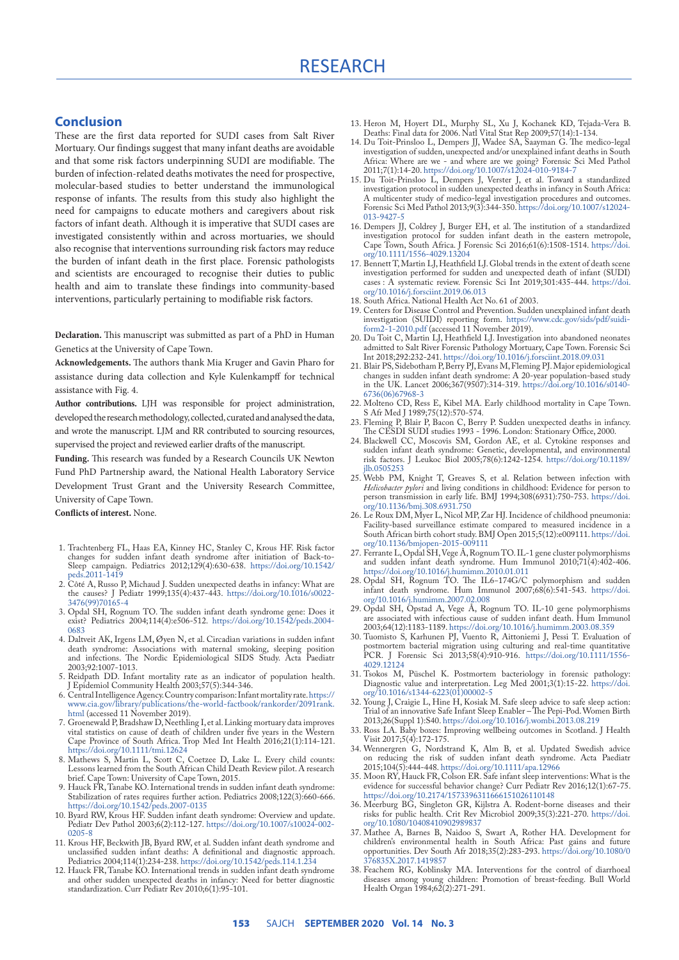# **Conclusion**

These are the first data reported for SUDI cases from Salt River Mortuary. Our findings suggest that many infant deaths are avoidable and that some risk factors underpinning SUDI are modifiable. The burden of infection-related deaths motivates the need for prospective, molecular-based studies to better understand the immunological response of infants. The results from this study also highlight the need for campaigns to educate mothers and caregivers about risk factors of infant death. Although it is imperative that SUDI cases are investigated consistently within and across mortuaries, we should also recognise that interventions surrounding risk factors may reduce the burden of infant death in the first place. Forensic pathologists and scientists are encouraged to recognise their duties to public health and aim to translate these findings into community-based interventions, particularly pertaining to modifiable risk factors.

**Declaration.** This manuscript was submitted as part of a PhD in Human Genetics at the University of Cape Town.

**Acknowledgements.** The authors thank Mia Kruger and Gavin Pharo for assistance during data collection and Kyle Kulenkampff for technical assistance with Fig. 4.

**Author contributions.** LJH was responsible for project administration, developed the research methodology, collected, curated and analysed the data, and wrote the manuscript. LJM and RR contributed to sourcing resources, supervised the project and reviewed earlier drafts of the manuscript.

**Funding.** This research was funded by a Research Councils UK Newton Fund PhD Partnership award, the National Health Laboratory Service Development Trust Grant and the University Research Committee, University of Cape Town.

**Conflicts of interest.** None.

- 1. Trachtenberg FL, Haas EA, Kinney HC, Stanley C, Krous HF. Risk factor changes for sudden infant death syndrome after initiation of Back-to-Sleep campaign. Pediatrics 2012;129(4):630-638. [https://doi.org/10.1542/](https://doi.org/10.1542/peds.2011-1419) [peds.2011-1419](https://doi.org/10.1542/peds.2011-1419)
- 2. Côté A, Russo P, Michaud J. Sudden unexpected deaths in infancy: What are the causes? J Pediatr 1999;135(4):437-443. [https://doi.org/10.1016/s0022-](https://doi.org/10.1016/s0022-3476(99)70165-4) [3476\(99\)70165-4](https://doi.org/10.1016/s0022-3476(99)70165-4)
- 3. Opdal SH, Rognum TO. The sudden infant death syndrome gene: Does it exist? Pediatrics 2004;114(4):e506-512. [https://doi.org/10.1542/peds.2004-](https://doi.org/10.1542/peds.2004-0683) [0683](https://doi.org/10.1542/peds.2004-0683)
- 4. Daltveit AK, Irgens LM, Øyen N, et al. Circadian variations in sudden infant death syndrome: Associations with maternal smoking, sleeping position and infections. The Nordic Epidemiological SIDS Study. Acta Paediatr 2003;92:1007-1013.
- 5. Reidpath DD. Infant mortality rate as an indicator of population health. J Epidemiol Community Health 2003;57(5):344-346.
- 6. Central Intelligence Agency. Country comparison: Infant mortality rate. [https://](https://www.cia.gov/library/publications/the-world-factbook/rankorder/2091rank.html) [www.cia.gov/library/publications/the-world-factbook/rankorder/2091rank.](https://www.cia.gov/library/publications/the-world-factbook/rankorder/2091rank.html) [html](https://www.cia.gov/library/publications/the-world-factbook/rankorder/2091rank.html) (accessed 11 November 2019).
- 7. Groenewald P, Bradshaw D, Neethling I, et al. Linking mortuary data improves vital statistics on cause of death of children under five years in the Western Cape Province of South Africa. Trop Med Int Health 2016;21(1):114-121. <https://doi.org/10.1111/tmi.12624>
- 8. Mathews S, Martin L, Scott C, Coetzee D, Lake L. Every child counts: Lessons learned from the South African Child Death Review pilot. A research brief. Cape Town: University of Cape Town, 2015.
- 9. Hauck FR, Tanabe KO. International trends in sudden infant death syndrome: Stabilization of rates requires further action. Pediatrics 2008;122(3):660-666. <https://doi.org/10.1542/peds.2007-0135>
- 10. Byard RW, Krous HF. Sudden infant death syndrome: Overview and update. Pediatr Dev Pathol 2003;6(2):112-127. [https://doi.org/10.1007/s10024-002-](https://doi.org/10.1007/s10024-002-0205-8)0205-8 [0205-8](https://doi.org/10.1007/s10024-002-0205-8)
- 11. Krous HF, Beckwith JB, Byard RW, et al. Sudden infant death syndrome and unclassified sudden infant deaths: A definitional and diagnostic approach. Pediatrics 2004;114(1):234-238.<https://doi.org/10.1542/peds.114.1.234>
- 12. Hauck FR, Tanabe KO. International trends in sudden infant death syndrome and other sudden unexpected deaths in infancy: Need for better diagnostic standardization. Curr Pediatr Rev 2010;6(1):95-101.
- 13. Heron M, Hoyert DL, Murphy SL, Xu J, Kochanek KD, Tejada-Vera B. Deaths: Final data for 2006. Natl Vital Stat Rep 2009;57(14):1-134.
- 14. Du Toit-Prinsloo L, Dempers JJ, Wadee SA, Saayman G. The medico-legal investigation of sudden, unexpected and/or unexplained infant deaths in South Africa: Where are we - and where are we going? Forensic Sci Med Pathol 2011;7(1):14-20.<https://doi.org/10.1007/s12024-010-9184-7>
- 15. Du Toit-Prinsloo L, Dempers J, Verster J, et al. Toward a standardized investigation protocol in sudden unexpected deaths in infancy in South Africa: A multicenter study of medico-legal investigation procedures and outcomes. Forensic Sci Med Pathol 2013;9(3):344-350. [https://doi.org/10.1007/s12024-](https://doi.org/10.1007/s12024-013-9427-5) [013-9427-5](https://doi.org/10.1007/s12024-013-9427-5)
- 16. Dempers JJ, Coldrey J, Burger EH, et al. The institution of a standardized investigation protocol for sudden infant death in the eastern metropole, Cape Town, South Africa. J Forensic Sci 2016;61(6):1508-1514. [https://doi.](https://doi.org/10.1111/1556-4029.13204) [org/10.1111/1556-4029.13204](https://doi.org/10.1111/1556-4029.13204)
- 17. Bennett T, Martin LJ, Heathfield LJ. Global trends in the extent of death scene investigation performed for sudden and unexpected death of infant (SUDI) cases : A systematic review. Forensic Sci Int 2019;301:435-444. [https://doi.](https://doi.org/10.1016/j.forsciint.2019.06.013) [org/10.1016/j.forsciint.2019.06.013](https://doi.org/10.1016/j.forsciint.2019.06.013)
- 18. South Africa. National Health Act No. 61 of 2003.
- 19. Centers for Disease Control and Prevention. Sudden unexplained infant death investigation (SUIDI) reporting form. [https://www.cdc.gov/sids/pdf/suidi](https://www.cdc.gov/sids/pdf/suidi-form2-1-2010.pdf)[form2-1-2010.pdf](https://www.cdc.gov/sids/pdf/suidi-form2-1-2010.pdf) (accessed 11 November 2019).
- 20. Du Toit C, Martin LJ, Heathfield LJ. Investigation into abandoned neonates admitted to Salt River Forensic Pathology Mortuary, Cape Town. Forensic Sci Int 2018;292:232-241. <https://doi.org/10.1016/j.forsciint.2018.09.031>
- 21. Blair PS, Sidebotham P, Berry PJ, Evans M, Fleming PJ. Major epidemiological changes in sudden infant death syndrome: A 20-year population-based study in the UK. Lancet 2006;367(9507):314-319. [https://doi.org/10.1016/s0140-](https://doi.org/10.1016/s0140-6736(06)67968-3) [6736\(06\)67968-3](https://doi.org/10.1016/s0140-6736(06)67968-3)
- 22. Molteno CD, Ress E, Kibel MA. Early childhood mortality in Cape Town. S Afr Med J 1989;75(12):570-574.
- 23. Fleming P, Blair P, Bacon C, Berry P. Sudden unexpected deaths in infancy. The CESDI SUDI studies 1993 - 1996. London: Stationary Office, 2000.
- 24. Blackwell CC, Moscovis SM, Gordon AE, et al. Cytokine responses and sudden infant death syndrome: Genetic, developmental, and environmental risk factors. J Leukoc Biol 2005;78(6):1242-1254. [https://doi.org/10.1189/](https://doi.org/10.1189/jlb.0505253) ilb.0505253
- 25. Webb PM, Knight T, Greaves S, et al. Relation between infection with *Helicobacter pylori* and living conditions in childhood: Evidence for person to person transmission in early life. BMJ 1994;308(6931):750-753. [https://doi.](https://doi.org/10.1136/bmj.308.6931.750) [org/10.1136/bmj.308.6931.750](https://doi.org/10.1136/bmj.308.6931.750)
- 26. Le Roux DM, Myer L, Nicol MP, Zar HJ. Incidence of childhood pneumonia: Facility-based surveillance estimate compared to measured incidence in a South African birth cohort study. BMJ Open 2015;5(12):e009111. [https://doi.](https://doi.org/10.1136/bmjopen-2015-009111) [org/10.1136/bmjopen-2015-009111](https://doi.org/10.1136/bmjopen-2015-009111)
- 27. Ferrante L, Opdal SH, Vege Å, Rognum TO. IL-1 gene cluster polymorphisms and sudden infant death syndrome. Hum Immunol 2010;71(4):402-406. <https://doi.org/10.1016/j.humimm.2010.01.011>
- 28. Opdal SH, Rognum TO. The IL6−174G/C polymorphism and sudden infant death syndrome. Hum Immunol 2007;68(6):541-543. [https://doi.](https://doi.org/10.1016/j.humimm.2007.02.008) [org/10.1016/j.humimm.2007.02.008](https://doi.org/10.1016/j.humimm.2007.02.008)
- 29. Opdal SH, Opstad A, Vege Å, Rognum TO. IL-10 gene polymorphisms are associated with infectious cause of sudden infant death. Hum Immunol 2003;64(12):1183-1189. <https://doi.org/10.1016/j.humimm.2003.08.359>
- 30. Tuomisto S, Karhunen PJ, Vuento R, Aittoniemi J, Pessi T. Evaluation of postmortem bacterial migration using culturing and real-time quantitative PCR. J Forensic Sci 2013;58(4):910-916. [https://doi.org/10.1111/1556-](https://doi.org/10.1111/1556-4029.12124) [4029.12124](https://doi.org/10.1111/1556-4029.12124)
- 31. Tsokos M, Püschel K. Postmortem bacteriology in forensic pathology: Diagnostic value and interpretation. Leg Med 2001;3(1):15-22. [https://doi.](https://doi.org/10.1016/s1344-6223(01)00002-5) [org/10.1016/s1344-6223\(01\)00002-5](https://doi.org/10.1016/s1344-6223(01)00002-5)
- 32. Young J, Craigie L, Hine H, Kosiak M. Safe sleep advice to safe sleep action: Trial of an innovative Safe Infant Sleep Enabler – The Pepi-Pod. Women Birth 2013;26(Suppl 1):S40.<https://doi.org/10.1016/j.wombi.2013.08.219>
- 33. Ross LA. Baby boxes: Improving wellbeing outcomes in Scotland. J Health Visit 2017;5(4):172-175.
- 34. Wennergren G, Nordstrand K, Alm B, et al. Updated Swedish advice on reducing the risk of sudden infant death syndrome. Acta Paediatr 2015;104(5):444-448.<https://doi.org/10.1111/apa.12966>
- 35. Moon RY, Hauck FR, Colson ER. Safe infant sleep interventions: What is the evidence for successful behavior change? Curr Pediatr Rev 2016;12(1):67-75. <https://doi.org/10.2174/1573396311666151026110148>
- 36. Meerburg BG, Singleton GR, Kijlstra A. Rodent-borne diseases and their risks for public health. Crit Rev Microbiol 2009;35(3):221-270. [https://doi.](https://doi.org/10.1080/10408410902989837) [org/10.1080/10408410902989837](https://doi.org/10.1080/10408410902989837)
- 37. Mathee A, Barnes B, Naidoo S, Swart A, Rother HA. Development for children's environmental health in South Africa: Past gains and future opportunities. Dev South Afr 2018;35(2):283-293. [https://doi.org/10.1080/0](https://doi.org/10.1080/0376835X.2017.1419857) [376835X.2017.1419857](https://doi.org/10.1080/0376835X.2017.1419857)
- 38. Feachem RG, Koblinsky MA. Interventions for the control of diarrhoeal diseases among young children: Promotion of breast-feeding. Bull World Health Organ 1984;62(2):271-291.